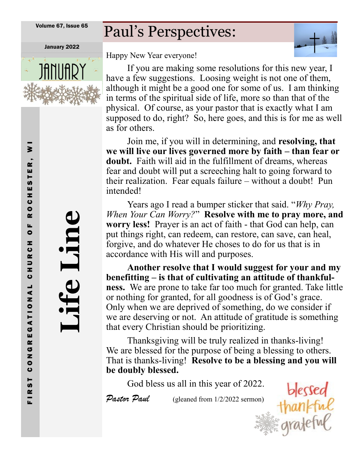Volume 67, Issue 65

# Paul's Perspectives: January 2022



Happy New Year everyone!

If you are making some resolutions for this new year, I have a few suggestions. Loosing weight is not one of them, although it might be a good one for some of us. I am thinking in terms of the spiritual side of life, more so than that of the physical. Of course, as your pastor that is exactly what I am supposed to do, right? So, here goes, and this is for me as well as for others.

Join me, if you will in determining, and **resolving, that we will live our lives governed more by faith – than fear or doubt.** Faith will aid in the fulfillment of dreams, whereas fear and doubt will put a screeching halt to going forward to their realization. Fear equals failure – without a doubt! Pun intended!

Years ago I read a bumper sticker that said. "*Why Pray, When Your Can Worry?*" **Resolve with me to pray more, and worry less!** Prayer is an act of faith - that God can help, can put things right, can redeem, can restore, can save, can heal, forgive, and do whatever He choses to do for us that is in accordance with His will and purposes.

**Another resolve that I would suggest for your and my benefitting – is that of cultivating an attitude of thankfulness.** We are prone to take far too much for granted. Take little or nothing for granted, for all goodness is of God's grace. Only when we are deprived of something, do we consider if we are deserving or not. An attitude of gratitude is something that every Christian should be prioritizing.

Thanksgiving will be truly realized in thanks-living! We are blessed for the purpose of being a blessing to others. That is thanks-living! **Resolve to be a blessing and you will be doubly blessed.**

God bless us all in this year of 2022. blessed<br>
repeat (gleaned from 1/2/2022 sermon)  $\frac{1}{2}$ <br>
Gradeful

Pastor Paul (gleaned from 1/2/2022 sermon)

**Life Line**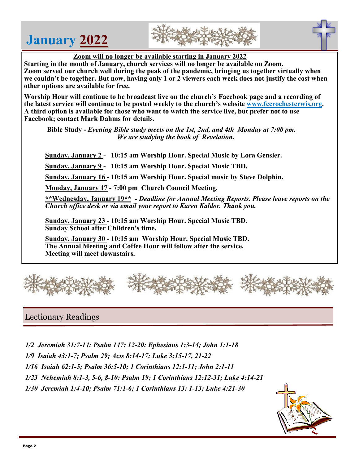# **January 2022**





 **Zoom will no longer be available starting in January 2022**

**Starting in the month of January, church services will no longer be available on Zoom. Zoom served our church well during the peak of the pandemic, bringing us together virtually when we couldn't be together. But now, having only 1 or 2 viewers each week does not justify the cost when other options are available for free.** 

**Worship Hour will continue to be broadcast live on the church's Facebook page and a recording of the latest service will continue to be posted weekly to the church's website [www.fccrochesterwis.org.](http://www.fccrochesterwis.org) A third option is available for those who want to watch the service live, but prefer not to use Facebook; contact Mark Dahms for details.** 

 **Bible Study -** *Evening Bible study meets on the 1st, 2nd, and 4th Monday at 7:00 pm. We are studying the book of Revelation.* 

**Sunday, January 2 - 10:15 am Worship Hour. Special Music by Lora Gensler.**

**Sunday, January 9 - 10:15 am Worship Hour. Special Music TBD.**

**Sunday, January 16 - 10:15 am Worship Hour. Special music by Steve Dolphin.** 

**Monday, January 17 - 7:00 pm Church Council Meeting.**

**\*\*Wednesday, January 19\*\*** *- Deadline for Annual Meeting Reports. Please leave reports on the Church office desk or via email your report to Karen Kaldor. Thank you.* 

**Sunday, January 23 - 10:15 am Worship Hour. Special Music TBD. Sunday School after Children's time.**

**Sunday, January 30 - 10:15 am Worship Hour. Special Music TBD. The Annual Meeting and Coffee Hour will follow after the service. Meeting will meet downstairs.**



## Lectionary Readings

- *1/2 Jeremiah 31:7-14: Psalm 147: 12-20: Ephesians 1:3-14; John 1:1-18*
- *1/9 Isaiah 43:1-7; Psalm 29; Acts 8:14-17; Luke 3:15-17, 21-22*
- *1/16 Isaiah 62:1-5; Psalm 36:5-10; 1 Corinthians 12:1-11; John 2:1-11*
- *1/23 Nehemiah 8:1-3, 5-6, 8-10: Psalm 19; 1 Corinthians 12:12-31; Luke 4:14-21*
- *1/30 Jeremiah 1:4-10; Psalm 71:1-6; 1 Corinthians 13: 1-13; Luke 4:21-30*

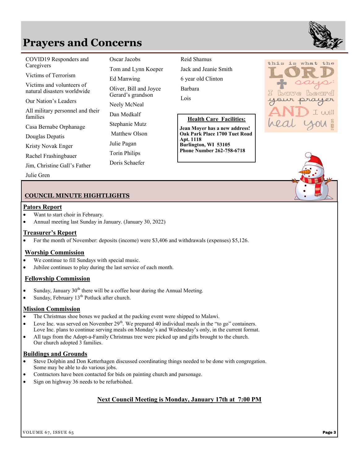## **Prayers and Concerns**

| COVID19 Responders and<br>Caregivers                     | Oscar Jacobs<br>Tom and Lynn Koeper         | Reid Shamus<br>Jack and Jeanie Smith       |
|----------------------------------------------------------|---------------------------------------------|--------------------------------------------|
| Victims of Terrorism                                     | Ed Manwing                                  | 6 year old Clinton                         |
| Victims and volunteers of<br>natural disasters worldwide | Oliver, Bill and Joyce<br>Gerard's grandson | Barbara                                    |
| Our Nation's Leaders                                     | Neely McNeal                                | Lois                                       |
| All military personnel and their<br>families             | Dan Medkalf                                 | <b>Health Care Facilities:</b>             |
| Casa Bernabe Orphanage                                   | Stephanie Mutz                              | Jean Moyer has a new address!              |
| Douglas Depatis                                          | Matthew Olson                               | Oak Park Place 1700 Tuet Road<br>Apt. 1118 |
| Kristy Novak Enger                                       | Julie Pagan                                 | Burlington, WI 53105                       |
| Rachel Frashingbauer                                     | Torin Philips                               | <b>Phone Number 262-758-6718</b>           |
| Jim, Christine Gall's Father                             | Doris Schaefer                              |                                            |

#### **Health Care Facilities:**





### **COUNCIL MINUTE HIGHTLIGHTS**

#### **Pators Report**

- Want to start choir in February.
- Annual meeting last Sunday in January. (January 30, 2022)

**Cameron Achauer Forrest McBride**  Julie Gren

#### **Treasurer's Report**

• For the month of November: deposits (income) were \$3,406 and withdrawals (expenses) \$5,126.

#### **Worship Commission**

- We continue to fill Sundays with special music.
- Jubilee continues to play during the last service of each month.

#### **Fellowship Commission**

- Sunday, January  $30<sup>th</sup>$  there will be a coffee hour during the Annual Meeting.
- Sunday, February  $13<sup>th</sup>$  Potluck after church.

#### **Mission Commission**

- The Christmas shoe boxes we packed at the packing event were shipped to Malawi.
- Love Inc. was served on November  $29<sup>th</sup>$ . We prepared 40 individual meals in the "to go" containers. Love Inc. plans to continue serving meals on Monday's and Wednesday's only, in the current format.
- All tags from the Adopt-a-Family Christmas tree were picked up and gifts brought to the church. Our church adopted 3 families.

#### **Buildings and Grounds**

- Steve Dolphin and Don Ketterhagen discussed coordinating things needed to be done with congregation. Some may be able to do various jobs.
- Contractors have been contacted for bids on painting church and parsonage.
- Sign on highway 36 needs to be refurbished.

### **Next Council Meeting is Monday, January 17th at 7:00 PM**